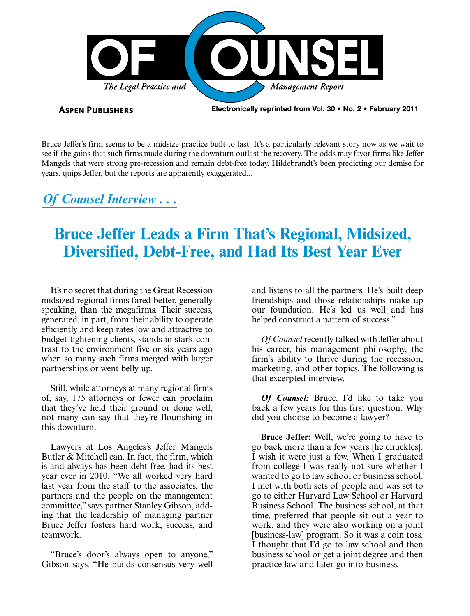

**ASPEN PUBLISHERS** 

Electronically reprinted from Vol. 30 • No. 2 • February 2011

Bruce Jeffer's firm seems to be a midsize practice built to last. It's a particularly relevant story now as we wait to see if the gains that such firms made during the downturn outlast the recovery. The odds may favor firms like Jeffer Mangels that were strong pre-recession and remain debt-free today. Hildebrandt's been predicting our demise for years, quips Jeffer, but the reports are apparently exaggerated...

### *Of Counsel Interview . . .*

## **Bruce Jeffer Leads a Firm That's Regional, Midsized, Diversified, Debt-Free, and Had Its Best Year Ever**

It's no secret that during the Great Recession midsized regional firms fared better, generally speaking, than the megafirms. Their success, generated, in part, from their ability to operate efficiently and keep rates low and attractive to budget-tightening clients, stands in stark contrast to the environment five or six years ago when so many such firms merged with larger partnerships or went belly up.

Still, while attorneys at many regional firms of, say, 175 attorneys or fewer can proclaim that they've held their ground or done well, not many can say that they're flourishing in this downturn.

Lawyers at Los Angeles's Jeffer Mangels Butler & Mitchell can. In fact, the firm, which is and always has been debt-free, had its best year ever in 2010. "We all worked very hard last year from the staff to the associates, the partners and the people on the management committee," says partner Stanley Gibson, adding that the leadership of managing partner Bruce Jeffer fosters hard work, success, and teamwork.

"Bruce's door's always open to anyone," Gibson says. "He builds consensus very well and listens to all the partners. He's built deep friendships and those relationships make up our foundation. He's led us well and has helped construct a pattern of success."

*Of Counsel* recently talked with Jeffer about his career, his management philosophy, the firm's ability to thrive during the recession, marketing, and other topics. The following is that excerpted interview.

*Of Counsel:* Bruce, I'd like to take you back a few years for this first question. Why did you choose to become a lawyer?

**Bruce Jeffer:** Well, we're going to have to go back more than a few years [he chuckles]. I wish it were just a few. When I graduated from college I was really not sure whether I wanted to go to law school or business school. I met with both sets of people and was set to go to either Harvard Law School or Harvard Business School. The business school, at that time, preferred that people sit out a year to work, and they were also working on a joint [business-law] program. So it was a coin toss. I thought that I'd go to law school and then business school or get a joint degree and then practice law and later go into business.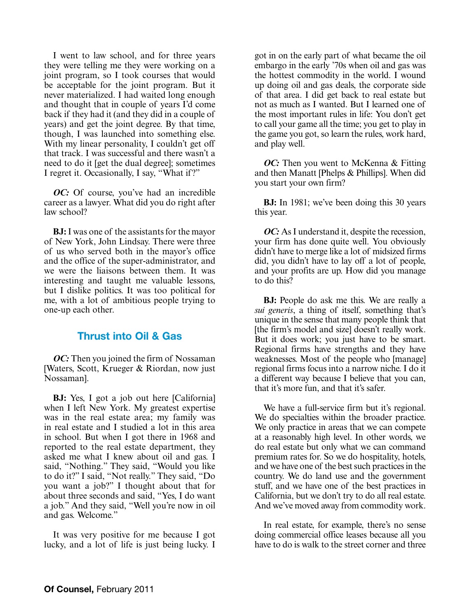I went to law school, and for three years they were telling me they were working on a joint program, so I took courses that would be acceptable for the joint program. But it never materialized. I had waited long enough and thought that in couple of years I'd come back if they had it (and they did in a couple of years) and get the joint degree. By that time, though, I was launched into something else. With my linear personality, I couldn't get off that track. I was successful and there wasn't a need to do it [get the dual degree]; sometimes I regret it. Occasionally, I say, "What if?"

*OC:* Of course, you've had an incredible career as a lawyer. What did you do right after law school?

**BJ:** I was one of the assistants for the mayor of New York, John Lindsay. There were three of us who served both in the mayor's office and the office of the super-administrator, and we were the liaisons between them. It was interesting and taught me valuable lessons, but I dislike politics. It was too political for me, with a lot of ambitious people trying to one-up each other.

#### Thrust into Oil & Gas

*OC:* Then you joined the firm of Nossaman [Waters, Scott, Krueger & Riordan, now just Nossaman].

**BJ:** Yes, I got a job out here [California] when I left New York. My greatest expertise was in the real estate area; my family was in real estate and I studied a lot in this area in school. But when I got there in 1968 and reported to the real estate department, they asked me what I knew about oil and gas. I said, "Nothing." They said, "Would you like to do it?" I said, "Not really." They said, "Do you want a job?" I thought about that for about three seconds and said, "Yes, I do want a job." And they said, "Well you're now in oil and gas. Welcome."

It was very positive for me because I got lucky, and a lot of life is just being lucky. I

got in on the early part of what became the oil embargo in the early '70s when oil and gas was the hottest commodity in the world. I wound up doing oil and gas deals, the corporate side of that area. I did get back to real estate but not as much as I wanted. But I learned one of the most important rules in life: You don't get to call your game all the time; you get to play in the game you got, so learn the rules, work hard, and play well.

*OC:* Then you went to McKenna & Fitting and then Manatt [Phelps & Phillips]. When did you start your own firm?

**BJ:** In 1981; we've been doing this 30 years this year.

*OC*: As I understand it, despite the recession, your firm has done quite well. You obviously didn't have to merge like a lot of midsized firms did, you didn't have to lay off a lot of people, and your profits are up. How did you manage to do this?

**BJ:** People do ask me this. We are really a *sui generis*, a thing of itself, something that's unique in the sense that many people think that [the firm's model and size] doesn't really work. But it does work; you just have to be smart. Regional firms have strengths and they have weaknesses. Most of the people who [manage] regional firms focus into a narrow niche. I do it a different way because I believe that you can, that it's more fun, and that it's safer.

We have a full-service firm but it's regional. We do specialties within the broader practice. We only practice in areas that we can compete at a reasonably high level. In other words, we do real estate but only what we can command premium rates for. So we do hospitality, hotels, and we have one of the best such practices in the country. We do land use and the government stuff, and we have one of the best practices in California, but we don't try to do all real estate. And we've moved away from commodity work.

In real estate, for example, there's no sense doing commercial office leases because all you have to do is walk to the street corner and three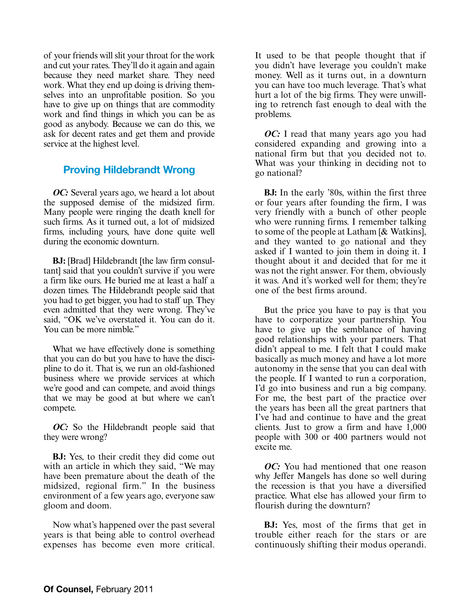of your friends will slit your throat for the work and cut your rates. They'll do it again and again because they need market share. They need work. What they end up doing is driving themselves into an unprofitable position. So you have to give up on things that are commodity work and find things in which you can be as good as anybody. Because we can do this, we ask for decent rates and get them and provide service at the highest level.

#### Proving Hildebrandt Wrong

*OC:* Several years ago, we heard a lot about the supposed demise of the midsized firm. Many people were ringing the death knell for such firms. As it turned out, a lot of midsized firms, including yours, have done quite well during the economic downturn.

**BJ:** [Brad] Hildebrandt [the law firm consultant] said that you couldn't survive if you were a firm like ours. He buried me at least a half a dozen times. The Hildebrandt people said that you had to get bigger, you had to staff up. They even admitted that they were wrong. They've said, "OK we've overstated it. You can do it. You can be more nimble."

What we have effectively done is something that you can do but you have to have the discipline to do it. That is, we run an old-fashioned business where we provide services at which we're good and can compete, and avoid things that we may be good at but where we can't compete.

*OC:* So the Hildebrandt people said that they were wrong?

**BJ:** Yes, to their credit they did come out with an article in which they said, "We may have been premature about the death of the midsized, regional firm." In the business environment of a few years ago, everyone saw gloom and doom.

Now what's happened over the past several years is that being able to control overhead expenses has become even more critical. It used to be that people thought that if you didn't have leverage you couldn't make money. Well as it turns out, in a downturn you can have too much leverage. That's what hurt a lot of the big firms. They were unwilling to retrench fast enough to deal with the problems.

*OC*: I read that many years ago you had considered expanding and growing into a national firm but that you decided not to. What was your thinking in deciding not to go national?

**BJ:** In the early '80s, within the first three or four years after founding the firm, I was very friendly with a bunch of other people who were running firms. I remember talking to some of the people at Latham [& Watkins], and they wanted to go national and they asked if I wanted to join them in doing it. I thought about it and decided that for me it was not the right answer. For them, obviously it was. And it's worked well for them; they're one of the best firms around.

But the price you have to pay is that you have to corporatize your partnership. You have to give up the semblance of having good relationships with your partners. That didn't appeal to me. I felt that I could make basically as much money and have a lot more autonomy in the sense that you can deal with the people. If I wanted to run a corporation, I'd go into business and run a big company. For me, the best part of the practice over the years has been all the great partners that I've had and continue to have and the great clients. Just to grow a firm and have 1,000 people with 300 or 400 partners would not excite me.

*OC:* You had mentioned that one reason why Jeffer Mangels has done so well during the recession is that you have a diversified practice. What else has allowed your firm to flourish during the downturn?

**BJ:** Yes, most of the firms that get in trouble either reach for the stars or are continuously shifting their modus operandi.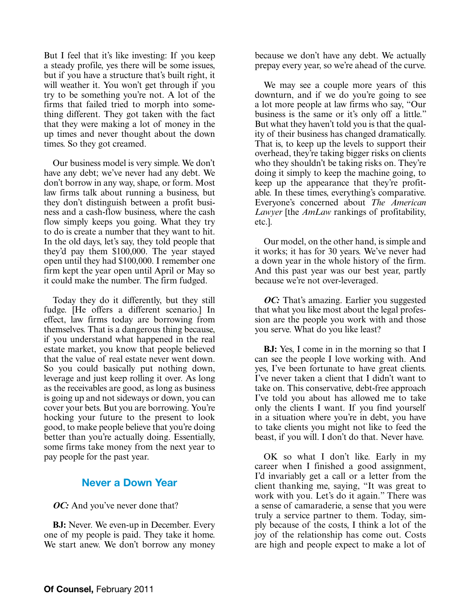But I feel that it's like investing: If you keep a steady profile, yes there will be some issues, but if you have a structure that's built right, it will weather it. You won't get through if you try to be something you're not. A lot of the firms that failed tried to morph into something different. They got taken with the fact that they were making a lot of money in the up times and never thought about the down times. So they got creamed.

Our business model is very simple. We don't have any debt; we've never had any debt. We don't borrow in any way, shape, or form. Most law firms talk about running a business, but they don't distinguish between a profit business and a cash-flow business, where the cash flow simply keeps you going. What they try to do is create a number that they want to hit. In the old days, let's say, they told people that they'd pay them \$100,000. The year stayed open until they had \$100,000. I remember one firm kept the year open until April or May so it could make the number. The firm fudged.

Today they do it differently, but they still fudge. [He offers a different scenario.] In effect, law firms today are borrowing from themselves. That is a dangerous thing because, if you understand what happened in the real estate market, you know that people believed that the value of real estate never went down. So you could basically put nothing down, leverage and just keep rolling it over. As long as the receivables are good, as long as business is going up and not sideways or down, you can cover your bets. But you are borrowing. You're hocking your future to the present to look good, to make people believe that you're doing better than you're actually doing. Essentially, some firms take money from the next year to pay people for the past year.

#### Never a Down Year

#### *OC*: And you've never done that?

**BJ:** Never. We even-up in December. Every one of my people is paid. They take it home. We start anew. We don't borrow any money because we don't have any debt. We actually prepay every year, so we're ahead of the curve.

We may see a couple more years of this downturn, and if we do you're going to see a lot more people at law firms who say, "Our business is the same or it's only off a little." But what they haven't told you is that the quality of their business has changed dramatically. That is, to keep up the levels to support their overhead, they're taking bigger risks on clients who they shouldn't be taking risks on. They're doing it simply to keep the machine going, to keep up the appearance that they're profitable. In these times, everything's comparative. Everyone's concerned about *The American Lawyer* [the *AmLaw* rankings of profitability, etc.].

Our model, on the other hand, is simple and it works; it has for 30 years. We've never had a down year in the whole history of the firm. And this past year was our best year, partly because we're not over-leveraged.

*OC*: That's amazing. Earlier you suggested that what you like most about the legal profession are the people you work with and those you serve. What do you like least?

**BJ:** Yes, I come in in the morning so that I can see the people I love working with. And yes, I've been fortunate to have great clients. I've never taken a client that I didn't want to take on. This conservative, debt-free approach I've told you about has allowed me to take only the clients I want. If you find yourself in a situation where you're in debt, you have to take clients you might not like to feed the beast, if you will. I don't do that. Never have.

OK so what I don't like. Early in my career when I finished a good assignment, I'd invariably get a call or a letter from the client thanking me, saying, "It was great to work with you. Let's do it again." There was a sense of camaraderie, a sense that you were truly a service partner to them. Today, simply because of the costs, I think a lot of the joy of the relationship has come out. Costs are high and people expect to make a lot of